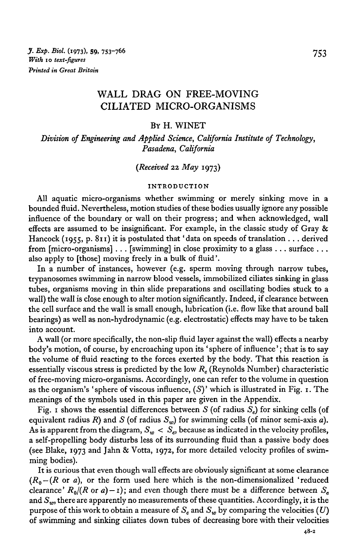# WALL DRAG ON FREE-MOVING CILIATED MICRO-ORGANISMS

### BY H. WINET

*Division of Engineering and Applied Science, California Institute of Technology, Pasadena, California* 

## *(Received* 22 *May* 1973)

#### INTRODUCTION

All aquatic micro-organisms whether swimming or merely sinking move in a bounded fluid. Nevertheless, motion studies of these bodies usually ignore any possible influence of the boundary or wall on their progress; and when acknowledged, wall effects are assumed to be insignificant. For example, in the classic study of Gray  $\&$ Hancock (1955, p. 811) it is postulated that 'data on speeds of translation . . . derived from  $[\text{micro-organisms}] \dots$  [swimming] in close proximity to a glass  $\dots$  surface  $\dots$ also apply to [those] moving freely in a bulk of fluid'.

In a number of instances, however (e.g. sperm moving through narrow tubes, trypanosomes swimming in narrow blood vessels, immobilized ciliates sinking in glass tubes, organisms moving in thin slide preparations and oscillating bodies stuck to a wall) the wall is close enough to alter motion significantly. Indeed, if clearance between the cell surface and the wall is small enough, lubrication (i.e. flow like that around ball bearings) as well as non-hydrodynamic (e.g. electrostatic) effects may have to be taken into account.

A wall (or more specifically, the non-slip fluid layer against the wall) effects a nearby body's motion, of course, by encroaching upon its 'sphere of influence'; that is to say the volume of fluid reacting to the forces exerted by the body. That this reaction is essentially viscous stress is predicted by the low *Re* (Reynolds Number) characteristic of free-moving micro-organisms. Accordingly, one can refer to the volume in question as the organism's 'sphere of viscous influence,  $(S)$ ' which is illustrated in Fig. 1. The meanings of the symbols used in this paper are given in the Appendix.

Fig. 1 shows the essential differences between *S* (of radius *Se)* for sinking cells (of equivalent radius  $R$ ) and  $S$  (of radius  $S_w$ ) for swimming cells (of minor semi-axis *a*). As is apparent from the diagram,  $S_w < S_e$ , because as indicated in the velocity profiles, a self-propelling body disturbs less of its surrounding fluid than a passive body does (see Blake, 1973 and Jahn & Votta, 1972, for more detailed velocity profiles of swimming bodies).

It is curious that even though wall effects are obviously significant at some clearance  $(R_0 - (R \text{ or } a)$ , or the form used here which is the non-dimensionalized 'reduced clearance'  $R_0/(R \text{ or } a) - 1$ ); and even though there must be a difference between  $S_e$ and *Sw,* there are apparently no measurements of these quantities. Accordingly, it is the purpose of this work to obtain a measure of  $S_e$  and  $S_w$  by comparing the velocities (U) of swimming and sinking ciliates down tubes of decreasing bore with their velocities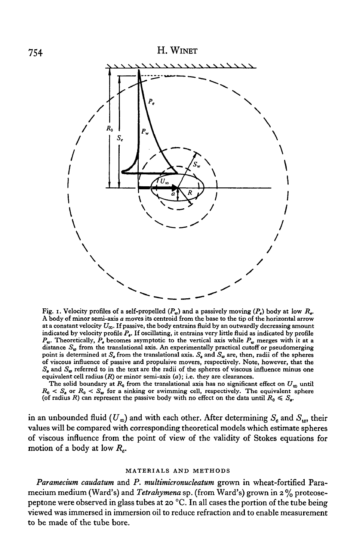

Fig. 1. Velocity profiles of a self-propelled  $(P_w)$  and a passively moving  $(P_a)$  body at low  $R_a$ . A body of minor semi-axis *a* moves its centroid from the base to the tip of the horizontal arrow at a constant velocity  $U_{\infty}$ . If passive, the body entrains fluid by an outwardly decreasing amount indicated by velocity profile  $P_s$ . If oscillating, it entrains very little fluid as indicated by profile  $P_w$ . Theoretically,  $P_o$  becomes asymptotic to the vertical axis while  $P_w$  merges with it at a distance  $S_w$  from the translational axis. An experimentally practical cutoff or pseudomerging point is determined at  $S_e$  from the translational axis.  $S_e$  and  $S_w$  are, then, radii of the spheres of viscous influence of passive and propulsive movers, respectively. Note, however, that the  $S<sub>e</sub>$  and  $S<sub>w</sub>$  referred to in the text are the radii of the spheres of viscous influence minus one equivalent cell radius  $(R)$  or minor semi-axis  $(a)$ ; i.e. they are clearances.

The solid boundary at  $R_0$  from the translational axis has no significant effect on  $U_{\infty}$  until  $R_0 < S_a$  or  $R_0 < S_w$  for a sinking or swimming cell, respectively. The equivalent sphere (of radius R) can represent the passive body with no effect on the data until  $R_0 \leq S_{\rm a}$ .

in an unbounded fluid ( $U_{\infty}$ ) and with each other. After determining  $S_e$  and  $S_w$ , their values will be compared with corresponding theoretical models which estimate spheres of viscous influence from the point of view of the validity of Stokes equations for motion of a body at low *Re.* 

#### MATERIALS AND METHODS

*Paramecium caudatum* and *P. multimicronucleatum* grown in wheat-fortified Paramecium medium (Ward's) and *Tetrahymena* sp. (from Ward's) grown in 2% proteosepeptone were observed in glass tubes at 20 °C. In all cases the portion of the tube being viewed was immersed in immersion oil to reduce refraction and to enable measurement to be made of the tube bore.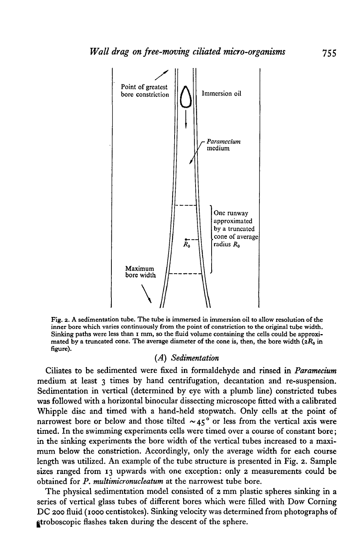

Fig. 2. A sedimentation tube. The tube is immersed in immersion oil to allow resolution of the inner bore which varies continuously from the point of constriction to the original tube width. Sinking paths were less than I mm, so the fluid volume containing the cells could be approximated by a truncated cone. The average diameter of the cone is, then, the bore width  $(2R_0 \text{ in}$ figure).

## (A) *Sedimentation*

Ciliates to be sedimented were fixed in formaldehyde and rinsed in *Paramecium*  medium at least  $\gamma$  times by hand centrifugation, decantation and re-suspension. Sedimentation in vertical (determined by eye with a plumb line) constricted tubes was followed with a horizontal binocular dissecting microscope fitted with a calibrated Whipple disc and timed with a hand-held stopwatch. Only cells at the point of narrowest bore or below and those tilted  $\sim 45^\circ$  or less from the vertical axis were timed. In the swimming experiments cells were timed over a course of constant bore; in the sinking experiments the bore width of the vertical tubes increased to a maximum below the constriction. Accordingly, only the average width for each course length was utilized. An example of the tube structure is presented in Fig. 2. Sample sizes ranged from 13 upwards with one exception: only 2 measurements could be obtained for *P. multimicronucleatum* at the narrowest tube bore.

The physical sedimentation model consisted of 2 mm plastic spheres sinking in a series of vertical glass tubes of different bores which were filled with Dow Corning DC 200 fluid (1000 centistokes). Sinking velocity was determined from photographs of litroboscopic flashes taken during the descent of the sphere.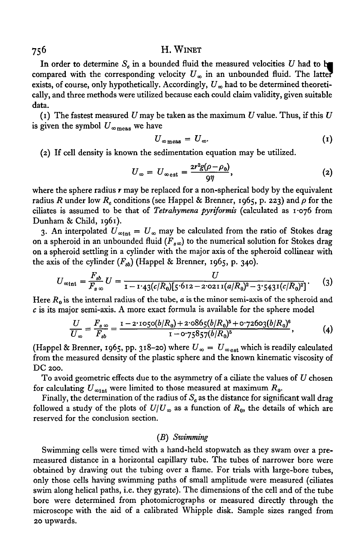### H. WINET

In order to determine  $S_e$  in a bounded fluid the measured velocities U had to be compared with the corresponding velocity  $U_{\infty}$  in an unbounded fluid. The latter exists, of course, only hypothetically. Accordingly,  $U_{\infty}$  had to be determined theoretically, and three methods were utilized because each could claim validity, given suitable data.

(1) The fastest measured U may be taken as the maximum U value. Thus, if this U is given the symbol  $U_{\infty_{\text{meas}}}$  we have

$$
U_{\infty \text{meas}} = U_{\infty}.\tag{1}
$$

(2) If cell density is known the sedimentation equation may be utilized.

$$
U_{\infty} = U_{\infty \text{est}} = \frac{2r^2g(\rho - \rho_0)}{9\eta}, \qquad (2)
$$

where the sphere radius *r* may be replaced for a non-spherical body by the equivalent radius R under low R<sub>e</sub> conditions (see Happel & Brenner, 1965, p. 223) and  $\rho$  for the ciliates is assumed to be that of *Tetrahymena pyriformis* (calculated as I ·o76 from Dunham & Child, I96I).

3. An interpolated  $U_{\infty 1nt} = U_{\infty}$  may be calculated from the ratio of Stokes drag on a spheroid in an unbounded fluid ( $F_{800}$ ) to the numerical solution for Stokes drag on a spheroid settling in a cylinder with the major axis of the spheroid collinear with the axis of the cylinder  $(F_{sb})$  (Happel & Brenner, 1965, p. 340).

$$
U_{\infty int} = \frac{F_{sb}}{F_{s\infty}} U = \frac{U}{1 - 1.43(c/R_0)[5.612 - 2.0211(a/R_0)^2 - 3.5431(c/R_0)^2]}.
$$
 (3)

Here  $R_0$  is the internal radius of the tube,  $a$  is the minor semi-axis of the spheroid and *c* is its major semi-axis. A more exact formula is available for the sphere model

$$
\frac{U}{U_{\infty}} = \frac{F_{s\infty}}{F_{sb}} = \frac{1 - 2 \cdot 1050(b/R_0) + 2 \cdot 0865(b/R_0)^5 + 0 \cdot 72603(b/R_0)^6}{1 - 0 \cdot 75857(b/R_0)^6},
$$
 (4)

(Happel & Brenner, 1965, pp. 318–20) where  $U_{\infty} = U_{\infty}$  which is readily calculated from the measured density of the plastic sphere and the known kinematic viscosity of DC *zoo.* 

To avoid geometric effects due to the asymmetry of a ciliate the values of *U* chosen for calculating  $U_{\infty int}$  were limited to those measured at maximum  $R_0$ .

Finally, the determination of the radius of  $S_e$  as the distance for significant wall drag followed a study of the plots of  $U/U_{\infty}$  as a function of  $R_0$ , the details of which are reserved for the conclusion section.

## *(B) Swimming*

Swimming cells were timed with a hand-held stopwatch as they swam over a premeasured distance in a horizontal capillary tube. The tubes of narrower bore were obtained by drawing out the tubing over a flame. For trials with large-bore tubes, only those cells having swimming paths of small amplitude were measured (ciliates swim along helical paths, i.e. they gyrate). The dimensions of the cell and of the tube bore were determined from photomicrographs or measured directly through the microscope with the aid of a calibrated Whipple disk. Sample sizes ranged from 20 upwards.

756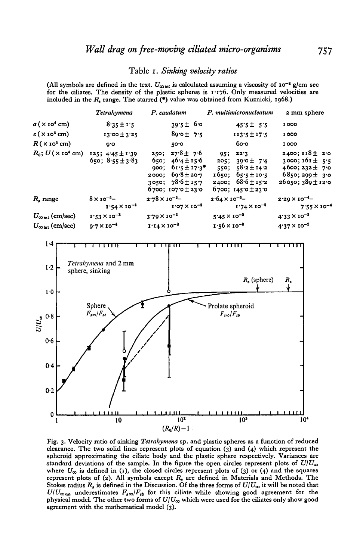### Table 1. Sinking velocity ratios

(All symbols are defined in the text.  $U_{\text{cosat}}$  is calculated assuming a viscosity of  $I^{\text{cos}}$  g/cm sec for the ciliates. The density of the plastic spheres is 1.176. Only measured velocities are included in the  $R$ , range. The starred  $(*)$  value was obtained from Kuznicki, 1968.)





Fig. 3. Velocity ratio of sinking Tetrahymena sp. and plastic spheres as a function of reduced clearance. The two solid lines represent plots of equation  $(3)$  and  $(4)$  which represent the spheroid approximating the ciliate body and the plastic sphere respectively. Variances are standard deviations of the sample. In the figure the open circles represent plots of  $U/U_{\infty}$ where  $U_{\infty}$  is defined in (1), the closed circles represent plots of (3) or (4) and the squares represent plots of (2). All symbols except  $R<sub>s</sub>$  are defined in Materials and Methods. The Stokes radius  $R_{\rm s}$  is defined in the Discussion. Of the three forms of  $U/U_{\infty}$  it will be noted that  $U/U_{\infty}$ <sub>est</sub> underestimates  $F_{s\infty}/F_{sb}$  for this ciliate while showing good agreement for the physical model. The other two forms of  $U/U_{\infty}$  which were used for the ciliates only show good agreement with the mathematical model (3).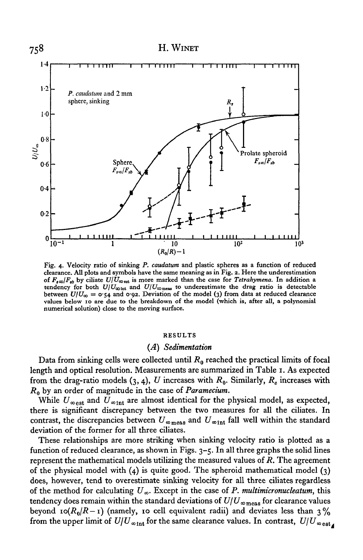

Fig. 4· Velocity ratio of sinking *P. caudatum* and plastic spheres as a function of reduced clearance. All plots and symbols have the same meaning as in Fig. 2. Here the underestimation of  $F_{s\infty}/F_{sb}$  by ciliate  $U/U_{\infty}$ <sub>est</sub> is more marked than the case for *Tetrahymena*. In addition a tendency for both  $U/U_{\infty}$ <sub>int</sub> and  $U/U_{\infty}$ <sub>meas</sub> to underestimate the drag ratio is detectable between  $U/U_{\infty} = 0.54$  and 0.92. Deviation of the model (3) from data at reduced clearance values below 10 are due to the breakdown of the model (which is, after all, a polynomial numerical solution) close to the moving surface.

#### RESULTS

### (A) *Sedimentation*

Data from sinking cells were collected until  $R_0$  reached the practical limits of focal length and optical resolution. Measurements are summarized in Table 1. As expected from the drag-ratio models  $(3, 4)$ , *U* increases with  $R_0$ . Similarly,  $R_6$  increases with R0 by an order of magnitude in the case of *Paramecium.* 

While  $U_{\infty}$ <sub>est</sub> and  $U_{\infty}$ <sub>int</sub> are almost identical for the physical model, as expected, there is significant discrepancy between the two measures for all the ciliates. In contrast, the discrepancies between  $U_{\infty_{\text{meas}}}$  and  $U_{\infty_{\text{int}}}$  fall well within the standard deviation of the former for all three ciliates.

These relationships are more striking when sinking velocity ratio is plotted as a function of reduced clearance, as shown in Figs.  $3-5$ . In all three graphs the solid lines represent the mathematical models utilizing the measured values of *R.* The agreement of the physical model with  $(4)$  is quite good. The spheroid mathematical model  $(3)$ does, however, tend to overestimate sinking velocity for all three ciliates regardless of the method for calculating  $U_{\infty}$ . Except in the case of *P. multimicronucleatum*, this tendency does remain within the standard deviations of  $U/U_{\infty_{\text{meas}}}$  for clearance values beyond  $\text{ro}(R_0/R - 1)$  (namely, 10 cell equivalent radii) and deviates less than 3% from the upper limit of  $U/U_{\infty int}$  for the same clearance values. In contrast,  $U/U_{\infty ext}$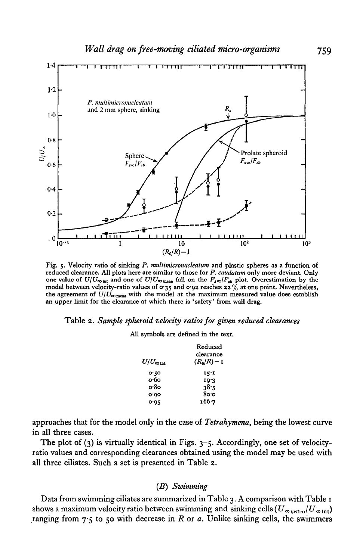

Fig. *5·* Velocity ratio of sinking *P. multimicronucleatum* and plastic spheres as a function of reduced clearance. All plots here are similar to those for *P. caudatum* only more deviant. Only one value of  $U/U_{\infty}$  and one of  $U/U_{\infty}$  and and the  $F_{s\infty}/F_{sb}$  plot. Overestimation by the model between velocity-ratio values of  $\sigma$  35 and  $\sigma$  92 reaches 22% at one point. Nevertheless, the agreement of  $U/U_{\infty\text{meas}}$  with the model at the maximum measured value does establish an upper limit for the clearance at which there is 'safety' from wall drag.

### Table 2. *Sample spheroid velocity ratios for given reduced clearances*

All symbols are defined in the text.

|                                      | Reduced       |
|--------------------------------------|---------------|
|                                      | clearance     |
| $U/U_{\mathbf{\omega} \text{ int }}$ | $(R_0/R) - I$ |
| 0.50                                 | 15.1          |
| о∙бо                                 | 19'3          |
| o·8o                                 | 38.5          |
| o.oo                                 | 8o∙o          |
| 0.95                                 | 166.7         |

approaches that for the model only in the case of *Tetrahymena,* being the lowest curve in all three cases.

The plot of  $(3)$  is virtually identical in Figs.  $3-5$ . Accordingly, one set of velocityratio values and corresponding clearances obtained using the model may be used with all three ciliates. Such a set is presented in Table 2.

### *(B) Swimming*

Data from swimming ciliates are summarized in Table 3. A comparison with Table 1 shows a maximum velocity ratio between swimming and sinking cells  $(U_{\infty}}_{\text{swim}}/U_{\infty}$ <sub>int</sub>) ranging from  $7.5$  to 50 with decrease in R or  $a$ . Unlike sinking cells, the swimmers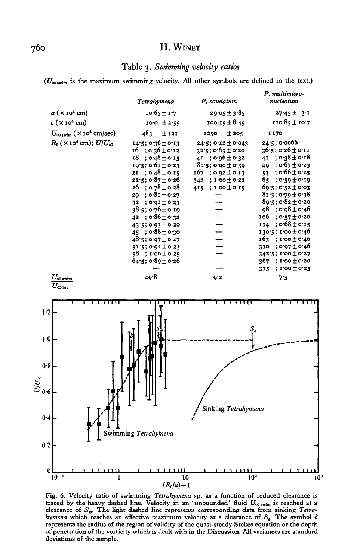## H. WINET

## Table 3. Swimming velocity ratios

 $(U_{\infty, \text{wim}})$  is the maximum swimming velocity. All other symbols are defined in the text.)



Fig. 6. Velocity ratio of swimming Tetrahymena sp. as a function of reduced clearance is traced by the heavy dashed line. Velocity in an 'unbounded' fluid  $U_{\infty}$ <sub>swim</sub> is reached at a clearance of  $S_{\varphi}$ . The light dashed line represents corresponding data from sinking Tetrahymena which reaches an effective maximum velocity at a clearance of  $S_n$ . The symbol  $\delta$ represents the radius of the region of validity of the quasi-steady Stokes equation or the depth of penetration of the vorticity which is dealt with in the Discussion. All variances are standard deviations of the sample.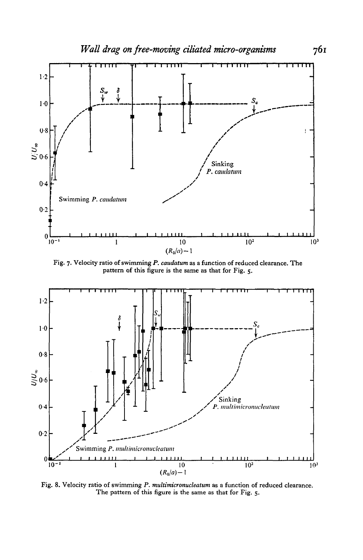

Fig. 7. Velocity ratio of swimming P. caudatum as a function of reduced clearance. The pattern of this figure is the same as that for Fig. 5.



Fig. 8. Velocity ratio of swimming P. multimicronucleatum as a function of reduced clearance. The pattern of this figure is the same as that for Fig. 5.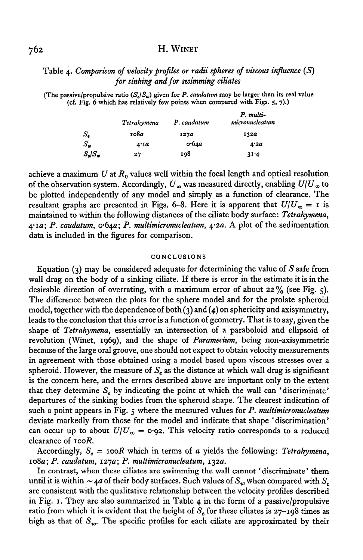## H. WINET

## Table 4· *Comparison of velocity profiles or radii spheres of viscous influence* (S) *for sinking and for swimming ciliates*

(The passive/propulsive ratio  $(S_n/S_n)$  given for *P. caudatum* may be larger than its real value (cf. Fig. 6 which has relatively few points when compared with Figs. s, 7).)

|                           | Tetrahymena | P. caudatum   | P. multi-<br>micronucleatum |
|---------------------------|-------------|---------------|-----------------------------|
| s.                        | 108a        | 1270          | 1320                        |
| S.,                       | 4.1a        | o.64 <i>a</i> | 4.2a                        |
| $S_{\pmb{s}}/S_{\pmb{w}}$ | 27          | 108           | 31.4                        |

achieve a maximum U at  $R_0$  values well within the focal length and optical resolution of the observation system. Accordingly,  $U_{\infty}$  was measured directly, enabling  $U/U_{\infty}$  to be plotted independently of any model and simply as a function of clearance. The resultant graphs are presented in Figs. 6-8. Here it is apparent that  $U/U_{\infty} = I$  is maintained to within the following distances of the ciliate body surface: *Tetrahymena,*  4·Ia; *P. caudatum,* o·64a; *P. multimicronucleatum,* 4·2a. A plot of the sedimentation data is included in the figures for comparison.

#### **CONCLUSIONS**

Equation (3) may be considered adequate for determining the value of *S* safe from wall drag on the body of a sinking ciliate. If there is error in the estimate it is in the desirable direction of overrating, with a maximum error of about 22% (see Fig. 5). The difference between the plots for the sphere model and for the prolate spheroid model, together with the dependence of both (3) and (4) on sphericity and axisymmetry, leads to the conclusion that this error is a function of geometry. That is to say, given the shape of *Tetrahymena,* essentially an intersection of a paraboloid and ellipsoid of revolution (Winet, I969), and the shape of *Paramecium,* being non-axisymmetric because of the large oral groove, one should not expect to obtain velocity measurements in agreement with those obtained using a model based upon viscous stresses over a spheroid. However, the measure of  $S<sub>e</sub>$  as the distance at which wall drag is significant is the concern here, and the errors described above are important only to the extent that they determine  $S_e$  by indicating the point at which the wall can 'discriminate' departures of the sinking bodies from the spheroid shape. The clearest indication of such a point appears in Fig. 5 where the measured values for *P. multimicronucleatum*  deviate markedly from those for the model and indicate that shape 'discrimination' can occur up to about  $U/U_{\infty} = \text{o} \cdot 92$ . This velocity ratio corresponds to a reduced clearance of *IooR.* 

Accordingly,  $S_e = \text{iooR}$  which in terms of *a* yields the following: *Tetrahymena*, Io8a; *P. caudatum, I27a; P. multimieronucleatum, I32a.* 

In contrast, when these ciliates are swimming the wall cannot 'discriminate' them until it is within  $\sim$  4*a* of their body surfaces. Such values of  $S_w$  when compared with  $S_e$ are consistent with the qualitative relationship between the velocity profiles described in Fig. I. They are also summarized in Table 4 in the form of a passive/propulsive ratio from which it is evident that the height of  $S_e$  for these ciliates is  $27$ -198 times as high as that of  $S_w$ . The specific profiles for each ciliate are approximated by their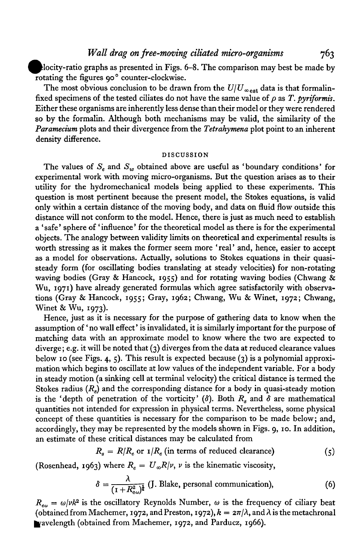elocity-ratio graphs as presented in Figs. 6-8. The comparison may best be made by rotating the figures go<sup>o</sup> counter-clockwise.

The most obvious conclusion to be drawn from the  $U/U_{\infty}$ <sub>est</sub> data is that formalinfixed specimens of the tested ciliates do not have the same value of  $\rho$  as *T. pyriformis.* Either these organisms are inherently less dense than their model or they were rendered so by the formalin. Although both mechanisms may be valid, the similarity of the *Paramecium* plots and their divergence from the *Tetrahymena* plot point to an inherent density difference.

#### DISCUSSION

The values of  $S_e$  and  $S_w$  obtained above are useful as 'boundary conditions' for experimental work with moving micro-organisms. But the question arises as to their utility for the hydromechanical models being applied to these experiments. This question is most pertinent because the present model, the Stokes equations, is valid only within a certain distance of the moving body, and data on fluid flow outside this distance will not conform to the model. Hence, there is just as much need to establish a 'safe' sphere of 'influence' for the theoretical model as there is for the experimental objects. The analogy between validity limits on theoretical and experimental results is worth stressing as it makes the former seem more 'real' and, hence, easier to accept as a model for observations. Actually, solutions to Stokes equations in their quasisteady form (for oscillating bodies translating at steady velocities) for non-rotating waving bodies (Gray & Hancock, 1955) and for rotating waving bodies (Chwang & Wu, 1971) have already generated formulas which agree satisfactorily with observations (Gray & Hancock, 1955; Gray, 1962; Chwang, Wu & Winet, 1972; Chwang, Winet & Wu, 1973).

Hence, just as it is necessary for the purpose of gathering data to know when the assumption of 'no wall effect' is invalidated, it is similarly important for the purpose of matching data with an approximate model to know where the two are expected to diverge; e.g. it will be noted that (3) diverges from the data at reduced clearance values below 10 (see Figs. 4, 5). This result is expected because (3) is a polynomial approximation which begins to oscillate at low values of the independent variable. For a body in steady motion (a sinking cell at terminal velocity) the critical distance is termed the Stokes radius  $(R_s)$  and the corresponding distance for a body in quasi-steady motion is the 'depth of penetration of the vorticity'  $(\delta)$ . Both  $R_s$  and  $\delta$  are mathematical quantities not intended for expression in physical terms. Nevertheless, some physical concept of these quantities is necessary for the comparison to be made below; and, accordingly, they may be represented by the models shown in Figs. g, 10. In addition, an estimate of these critical distances may be calculated from

$$
R_s = R/R_e \text{ or } 1/R_e \text{ (in terms of reduced clearance)}
$$
 (5)

(Rosenhead, 1963) where  $R_e = U_\infty R/\nu$ ,  $\nu$  is the kinematic viscosity,

$$
\delta = \frac{\lambda}{(1 + R_{\text{e}\omega})^{\frac{1}{4}}} \text{ (J. Blake, personal communication)}, \tag{6}
$$

 $R_{\epsilon\omega} = \omega/\nu k^2$  is the oscillatory Reynolds Number,  $\omega$  is the frequency of ciliary beat (obtained from Machemer, 1972, and Preston, 1972),  $k = 2\pi/\lambda$ , and  $\lambda$  is the metachronal vavelength (obtained from Machemer, 1972, and Parducz, 1966).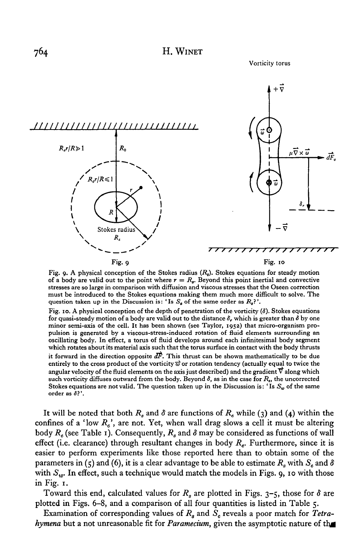Vorticity torus



Fig. 9· A physical conception of the Stokes radius (R*8).* Stokes equations for steady motion of a body are valid out to the point where  $r = R_n$ . Beyond this point inertial and convective stresses are so large in comparison with diffusion and viscous stresses that the Oseen correction must be introduced to the Stokes equations making them much more difficult to solve. The question taken up in the Discussion is: 'Is  $S<sub>a</sub>$  of the same order as  $R<sub>a</sub>$ ?'.

Fig. 10. A physical conception of the depth of penetration of the vorticity  $(\delta)$ . Stokes equations for quasi-steady motion of a body are valid out to the distance *8,* which is greater than *8* by one minor semi-axis of the cell. It has been shown (see Taylor, 1952) that micro-organism propulsion is generated by a viscous-stress-induced rotation of fluid elements surrounding an oscillating body. In effect, a torus of fluid develops around each infinitesimal body segment which rotates about its material axis such that the torus surface in contact with the body thrusts it forward in the direction opposite  $d\vec{F}$ . This thrust can be shown mathematically to be due entirely to the cross product of the vorticity  $\vec{\omega}$  or rotation tendency (actually equal to twice the angular velocity of the fluid elements on the axis just described) and the gradient  $\vec{\nabla}$  along which such vorticity diffuses outward from the body. Beyond  $\delta$ , as in the case for  $R_s$ , the uncorrected Stokes equations are not valid. The question taken up in the Discussion is: 'Is  $S_w$  of the same order as *8?* '.

It will be noted that both  $R_s$  and  $\delta$  are functions of  $R_e$  while (3) and (4) within the confines of a 'low  $R_e$ ', are not. Yet, when wall drag slows a cell it must be altering body  $R_e$  (see Table 1). Consequently,  $R_s$  and  $\delta$  may be considered as functions of wall effect (i.e. clearance) through resultant changes in body *Re.* Furthermore, since it is easier to perform experiments like those reported here than to obtain some of the parameters in (5) and (6), it is a clear advantage to be able to estimate  $R_s$  with  $S_e$  and  $\delta$ with  $S_w$ . In effect, such a technique would match the models in Figs. 9, 10 with those in Fig. 1.

Toward this end, calculated values for  $R_s$  are plotted in Figs. 3-5, those for  $\delta$  are plotted in Figs. 6-8, and a comparison of all four quantities is listed in Table 5·

Examination of corresponding values of *R8* and *Se* reveals a poor match for *Tetrahymena* but a not unreasonable fit for *Paramecium*, given the asymptotic nature of the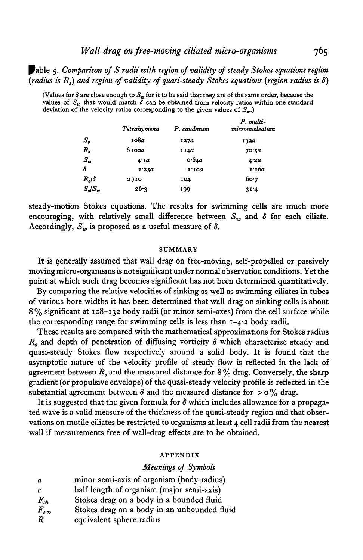'able 5· *Comparison of S radii with region of validity of steady Stokes equations region (radius is R8 ) and region of validity of quasi-steady Stokes equations (region radius is 8)* 

(Values for  $\delta$  are close enough to *S<sub>u</sub>*, for it to be said that they are of the same order, because the values of  $S_w$  that would match  $\delta$  can be obtained from velocity ratios within one standard deviation of the velocity ratios corresponding to the given values of  $S<sub>en</sub>$ )

|                   | Tetrahymena | P. caudatum | P. multi-<br>micronucleatum |
|-------------------|-------------|-------------|-----------------------------|
| $\mathcal{S}_s$   | 108a        | 127a        | 132a                        |
| R,                | 6100a       | 1140        | 70.5a                       |
| $S_w$             | 4.1a        | 0.64a       | 4.2a                        |
| δ                 | 2.25a       | $I'$ IO $a$ | 1.16а                       |
| $R_s/\delta$      | 2710        | 104         | 60.7                        |
| $S_{\rm d}/S_{w}$ | 26.3        | 199         | 31.4                        |

steady-motion Stokes equations. The results for swimming cells are much more encouraging, with relatively small difference between  $S_{in}$  and  $\delta$  for each ciliate. Accordingly,  $S_w$  is proposed as a useful measure of  $\delta$ .

#### SUMMARY

It is generally assumed that wall drag on free-moving, self-propelled or passively moving micro-organisms is not significant under normal observation conditions. Yet the point at which such drag becomes significant has not been determined quantitatively.

By comparing the relative velocities of sinking as well as swimming ciliates in tubes of various bore widths it has been determined that wall drag on sinking cells is about  $8\%$  significant at 108-132 body radii (or minor semi-axes) from the cell surface while the corresponding range for swimming cells is less than 1-4·2 body radii.

These results are compared with the mathematical approximations for Stokes radius  $R<sub>s</sub>$  and depth of penetration of diffusing vorticity  $\delta$  which characterize steady and quasi-steady Stokes flow respectively around a solid body. It is found that the asymptotic nature of the velocity profile of steady flow is reflected in the lack of agreement between  $R_s$  and the measured distance for  $8\%$  drag. Conversely, the sharp gradient (or propulsive envelope) of the quasi-steady velocity profile is reflected in the substantial agreement between  $\delta$  and the measured distance for  $>$  o% drag.

It is suggested that the given formula for  $\delta$  which includes allowance for a propagated wave is a valid measure of the thickness of the quasi-steady region and that observations on motile ciliates be restricted to organisms at least 4 cell radii from the nearest wall if measurements free of wall-drag effects are to be obtained.

#### APPENDIX

#### *Meanings of Symbols*

| $\boldsymbol{a}$ | minor semi-axis of organism (body radius)   |
|------------------|---------------------------------------------|
| c                | half length of organism (major semi-axis)   |
| $F_{sb}$         | Stokes drag on a body in a bounded fluid    |
| $F_{s\infty}$    | Stokes drag on a body in an unbounded fluid |
| R                | equivalent sphere radius                    |

765